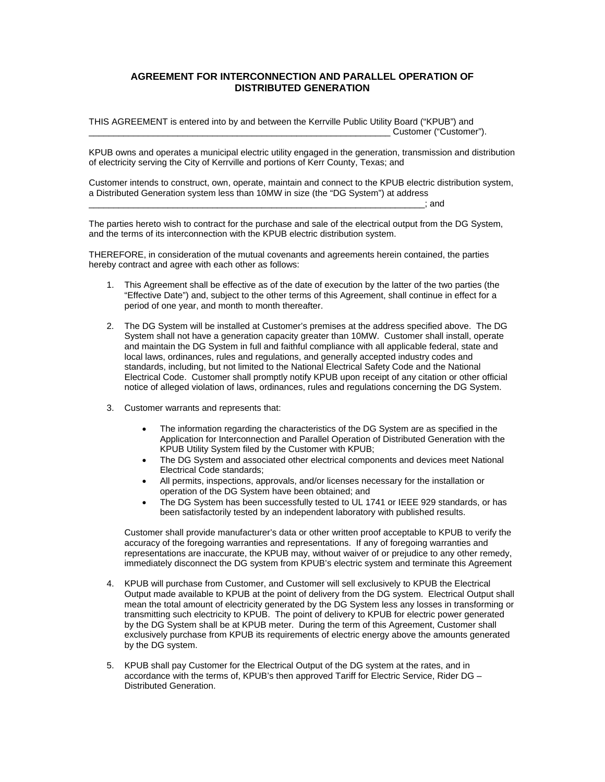## **AGREEMENT FOR INTERCONNECTION AND PARALLEL OPERATION OF DISTRIBUTED GENERATION**

THIS AGREEMENT is entered into by and between the Kerrville Public Utility Board ("KPUB") and \_\_\_\_\_\_\_\_\_\_\_\_\_\_\_\_\_\_\_\_\_\_\_\_\_\_\_\_\_\_\_\_\_\_\_\_\_\_\_\_\_\_\_\_\_\_\_\_\_\_\_\_\_\_\_\_\_\_\_\_\_ Customer ("Customer").

KPUB owns and operates a municipal electric utility engaged in the generation, transmission and distribution of electricity serving the City of Kerrville and portions of Kerr County, Texas; and

Customer intends to construct, own, operate, maintain and connect to the KPUB electric distribution system, a Distributed Generation system less than 10MW in size (the "DG System") at address \_\_\_\_\_\_\_\_\_\_\_\_\_\_\_\_\_\_\_\_\_\_\_\_\_\_\_\_\_\_\_\_\_\_\_\_\_\_\_\_\_\_\_\_\_\_\_\_\_\_\_\_\_\_\_\_\_\_\_\_\_\_\_\_\_\_\_\_; and

The parties hereto wish to contract for the purchase and sale of the electrical output from the DG System,

and the terms of its interconnection with the KPUB electric distribution system.

THEREFORE, in consideration of the mutual covenants and agreements herein contained, the parties hereby contract and agree with each other as follows:

- 1. This Agreement shall be effective as of the date of execution by the latter of the two parties (the "Effective Date") and, subject to the other terms of this Agreement, shall continue in effect for a period of one year, and month to month thereafter.
- 2. The DG System will be installed at Customer's premises at the address specified above. The DG System shall not have a generation capacity greater than 10MW. Customer shall install, operate and maintain the DG System in full and faithful compliance with all applicable federal, state and local laws, ordinances, rules and regulations, and generally accepted industry codes and standards, including, but not limited to the National Electrical Safety Code and the National Electrical Code. Customer shall promptly notify KPUB upon receipt of any citation or other official notice of alleged violation of laws, ordinances, rules and regulations concerning the DG System.
- 3. Customer warrants and represents that:
	- The information regarding the characteristics of the DG System are as specified in the Application for Interconnection and Parallel Operation of Distributed Generation with the KPUB Utility System filed by the Customer with KPUB;
	- The DG System and associated other electrical components and devices meet National Electrical Code standards;
	- All permits, inspections, approvals, and/or licenses necessary for the installation or operation of the DG System have been obtained; and
	- The DG System has been successfully tested to UL 1741 or IEEE 929 standards, or has been satisfactorily tested by an independent laboratory with published results.

Customer shall provide manufacturer's data or other written proof acceptable to KPUB to verify the accuracy of the foregoing warranties and representations. If any of foregoing warranties and representations are inaccurate, the KPUB may, without waiver of or prejudice to any other remedy, immediately disconnect the DG system from KPUB's electric system and terminate this Agreement

- 4. KPUB will purchase from Customer, and Customer will sell exclusively to KPUB the Electrical Output made available to KPUB at the point of delivery from the DG system. Electrical Output shall mean the total amount of electricity generated by the DG System less any losses in transforming or transmitting such electricity to KPUB. The point of delivery to KPUB for electric power generated by the DG System shall be at KPUB meter. During the term of this Agreement, Customer shall exclusively purchase from KPUB its requirements of electric energy above the amounts generated by the DG system.
- 5. KPUB shall pay Customer for the Electrical Output of the DG system at the rates, and in accordance with the terms of, KPUB's then approved Tariff for Electric Service, Rider DG – Distributed Generation.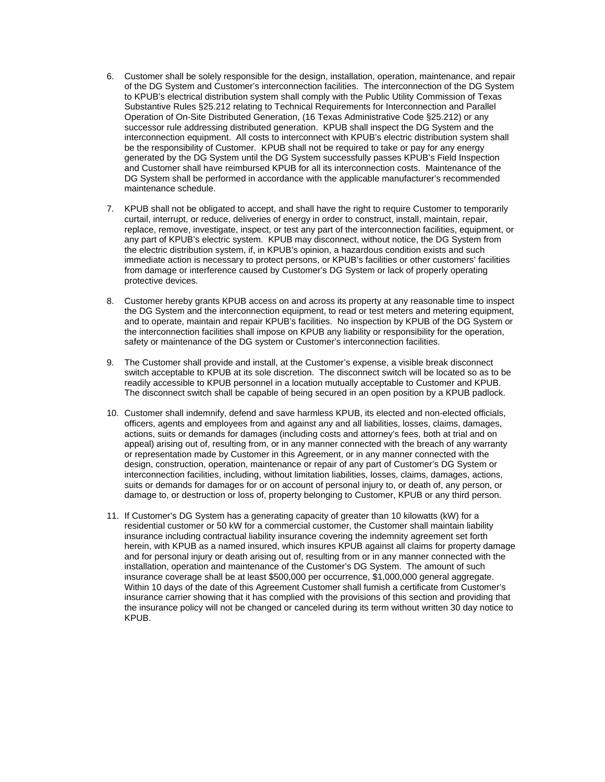- 6. Customer shall be solely responsible for the design, installation, operation, maintenance, and repair of the DG System and Customer's interconnection facilities. The interconnection of the DG System to KPUB's electrical distribution system shall comply with the Public Utility Commission of Texas Substantive Rules §25.212 relating to Technical Requirements for Interconnection and Parallel Operation of On-Site Distributed Generation, (16 Texas Administrative Code §25.212) or any successor rule addressing distributed generation. KPUB shall inspect the DG System and the interconnection equipment. All costs to interconnect with KPUB's electric distribution system shall be the responsibility of Customer. KPUB shall not be required to take or pay for any energy generated by the DG System until the DG System successfully passes KPUB's Field Inspection and Customer shall have reimbursed KPUB for all its interconnection costs. Maintenance of the DG System shall be performed in accordance with the applicable manufacturer's recommended maintenance schedule.
- 7. KPUB shall not be obligated to accept, and shall have the right to require Customer to temporarily curtail, interrupt, or reduce, deliveries of energy in order to construct, install, maintain, repair, replace, remove, investigate, inspect, or test any part of the interconnection facilities, equipment, or any part of KPUB's electric system. KPUB may disconnect, without notice, the DG System from the electric distribution system, if, in KPUB's opinion, a hazardous condition exists and such immediate action is necessary to protect persons, or KPUB's facilities or other customers' facilities from damage or interference caused by Customer's DG System or lack of properly operating protective devices.
- 8. Customer hereby grants KPUB access on and across its property at any reasonable time to inspect the DG System and the interconnection equipment, to read or test meters and metering equipment, and to operate, maintain and repair KPUB's facilities. No inspection by KPUB of the DG System or the interconnection facilities shall impose on KPUB any liability or responsibility for the operation, safety or maintenance of the DG system or Customer's interconnection facilities.
- 9. The Customer shall provide and install, at the Customer's expense, a visible break disconnect switch acceptable to KPUB at its sole discretion. The disconnect switch will be located so as to be readily accessible to KPUB personnel in a location mutually acceptable to Customer and KPUB. The disconnect switch shall be capable of being secured in an open position by a KPUB padlock.
- 10. Customer shall indemnify, defend and save harmless KPUB, its elected and non-elected officials, officers, agents and employees from and against any and all liabilities, losses, claims, damages, actions, suits or demands for damages (including costs and attorney's fees, both at trial and on appeal) arising out of, resulting from, or in any manner connected with the breach of any warranty or representation made by Customer in this Agreement, or in any manner connected with the design, construction, operation, maintenance or repair of any part of Customer's DG System or interconnection facilities, including, without limitation liabilities, losses, claims, damages, actions, suits or demands for damages for or on account of personal injury to, or death of, any person, or damage to, or destruction or loss of, property belonging to Customer, KPUB or any third person.
- 11. If Customer's DG System has a generating capacity of greater than 10 kilowatts (kW) for a residential customer or 50 kW for a commercial customer, the Customer shall maintain liability insurance including contractual liability insurance covering the indemnity agreement set forth herein, with KPUB as a named insured, which insures KPUB against all claims for property damage and for personal injury or death arising out of, resulting from or in any manner connected with the installation, operation and maintenance of the Customer's DG System. The amount of such insurance coverage shall be at least \$500,000 per occurrence, \$1,000,000 general aggregate. Within 10 days of the date of this Agreement Customer shall furnish a certificate from Customer's insurance carrier showing that it has complied with the provisions of this section and providing that the insurance policy will not be changed or canceled during its term without written 30 day notice to KPUB.